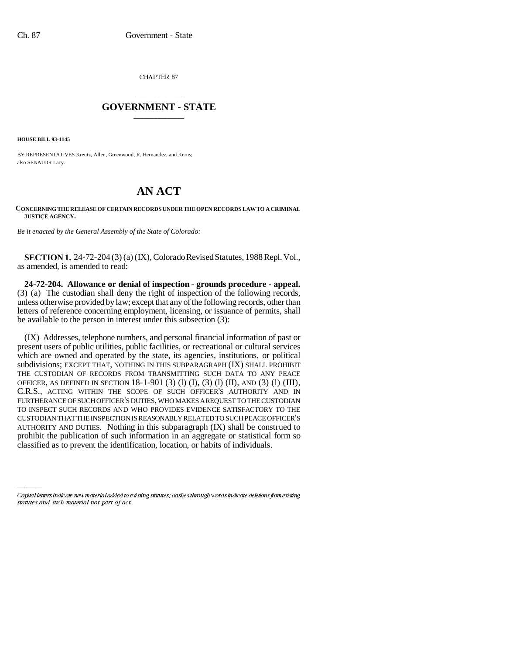CHAPTER 87

## \_\_\_\_\_\_\_\_\_\_\_\_\_\_\_ **GOVERNMENT - STATE** \_\_\_\_\_\_\_\_\_\_\_\_\_\_\_

**HOUSE BILL 93-1145**

BY REPRESENTATIVES Kreutz, Allen, Greenwood, R. Hernandez, and Kerns; also SENATOR Lacy.

## **AN ACT**

## **CONCERNING THE RELEASE OF CERTAIN RECORDS UNDER THE OPEN RECORDS LAW TO A CRIMINAL JUSTICE AGENCY.**

*Be it enacted by the General Assembly of the State of Colorado:*

**SECTION 1.** 24-72-204 (3) (a) (IX), Colorado Revised Statutes, 1988 Repl. Vol., as amended, is amended to read:

**24-72-204. Allowance or denial of inspection - grounds procedure - appeal.** (3) (a) The custodian shall deny the right of inspection of the following records, unless otherwise provided by law; except that any of the following records, other than letters of reference concerning employment, licensing, or issuance of permits, shall be available to the person in interest under this subsection (3):

AUTHORITY AND DUTIES. Nothing in this subparagraph (IX) shall be construed to (IX) Addresses, telephone numbers, and personal financial information of past or present users of public utilities, public facilities, or recreational or cultural services which are owned and operated by the state, its agencies, institutions, or political subdivisions; EXCEPT THAT, NOTHING IN THIS SUBPARAGRAPH (IX) SHALL PROHIBIT THE CUSTODIAN OF RECORDS FROM TRANSMITTING SUCH DATA TO ANY PEACE OFFICER, AS DEFINED IN SECTION 18-1-901 (3) (l) (I), (3) (l) (II), AND (3) (l) (III), C.R.S., ACTING WITHIN THE SCOPE OF SUCH OFFICER'S AUTHORITY AND IN FURTHERANCE OF SUCH OFFICER'S DUTIES, WHO MAKES A REQUEST TO THE CUSTODIAN TO INSPECT SUCH RECORDS AND WHO PROVIDES EVIDENCE SATISFACTORY TO THE CUSTODIAN THAT THE INSPECTION IS REASONABLY RELATED TO SUCH PEACE OFFICER'S prohibit the publication of such information in an aggregate or statistical form so classified as to prevent the identification, location, or habits of individuals.

Capital letters indicate new material added to existing statutes; dashes through words indicate deletions from existing statutes and such material not part of act.